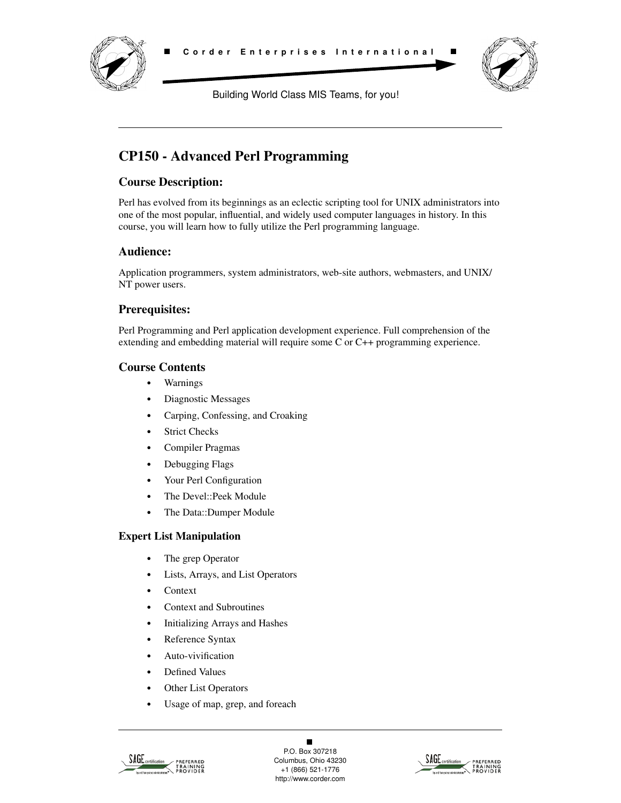

Building World Class MIS Teams, for you!

# **CP150 - Advanced Perl Programming**

### **Course Description:**

Perl has evolved from its beginnings as an eclectic scripting tool for UNIX administrators into one of the most popular, influential, and widely used computer languages in history. In this course, you will learn how to fully utilize the Perl programming language.

### **Audience:**

Application programmers, system administrators, web-site authors, webmasters, and UNIX/ NT power users.

### **Prerequisites:**

Perl Programming and Perl application development experience. Full comprehension of the extending and embedding material will require some C or C++ programming experience.

### **Course Contents**

- **•** Warnings
- **•** Diagnostic Messages
- **•** Carping, Confessing, and Croaking
- **•** Strict Checks
- **•** Compiler Pragmas
- **•** Debugging Flags
- **•** Your Perl Configuration
- **•** The Devel::Peek Module
- **•** The Data::Dumper Module

### **Expert List Manipulation**

- **•** The grep Operator
- **•** Lists, Arrays, and List Operators
- **•** Context
- **•** Context and Subroutines
- **•** Initializing Arrays and Hashes
- **•** Reference Syntax
- **•** Auto-vivification
- **•** Defined Values
- **•** Other List Operators
- **•** Usage of map, grep, and foreach



 $\blacksquare$ P.O. Box 307218 Columbus, Ohio 43230 +1 (866) 521-1776 http://www.corder.com

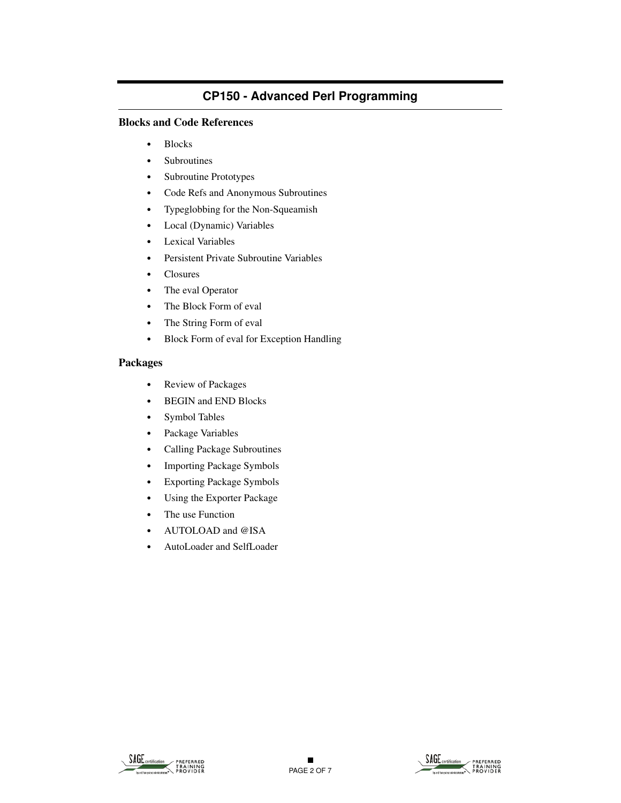#### **Blocks and Code References**

- **•** Blocks
- **•** Subroutines
- **•** Subroutine Prototypes
- **•** Code Refs and Anonymous Subroutines
- **•** Typeglobbing for the Non-Squeamish
- **•** Local (Dynamic) Variables
- **•** Lexical Variables
- **•** Persistent Private Subroutine Variables
- **•** Closures
- **•** The eval Operator
- **•** The Block Form of eval
- **•** The String Form of eval
- **•** Block Form of eval for Exception Handling

#### **Packages**

- **•** Review of Packages
- **•** BEGIN and END Blocks
- **•** Symbol Tables
- **•** Package Variables
- **•** Calling Package Subroutines
- **•** Importing Package Symbols
- **•** Exporting Package Symbols
- **•** Using the Exporter Package
- **•** The use Function
- **•** AUTOLOAD and @ISA
- **•** AutoLoader and SelfLoader



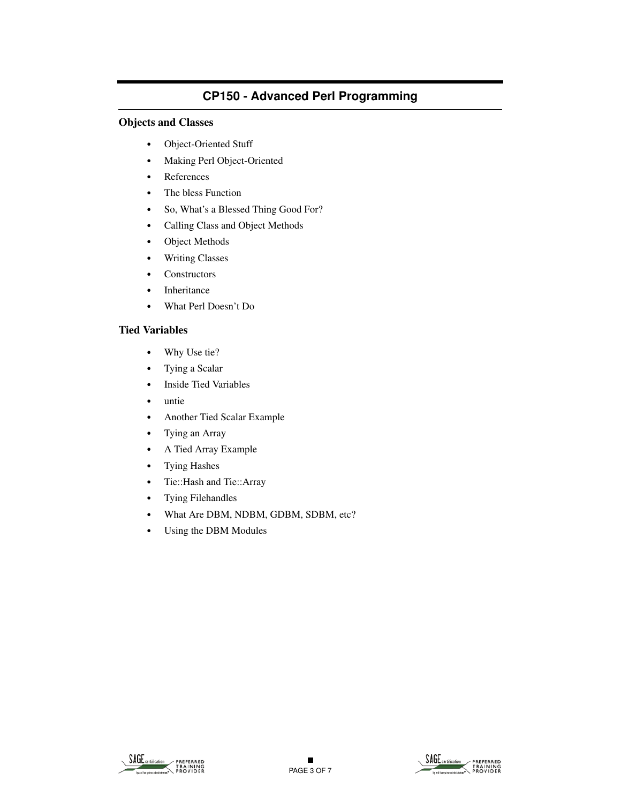#### **Objects and Classes**

- **•** Object-Oriented Stuff
- **•** Making Perl Object-Oriented
- **•** References
- **•** The bless Function
- **•** So, What's a Blessed Thing Good For?
- **•** Calling Class and Object Methods
- **•** Object Methods
- **•** Writing Classes
- **•** Constructors
- **•** Inheritance
- **•** What Perl Doesn't Do

#### **Tied Variables**

- **•** Why Use tie?
- **•** Tying a Scalar
- **•** Inside Tied Variables
- **•** untie
- **•** Another Tied Scalar Example
- **•** Tying an Array
- **•** A Tied Array Example
- **•** Tying Hashes
- **•** Tie::Hash and Tie::Array
- **•** Tying Filehandles
- **•** What Are DBM, NDBM, GDBM, SDBM, etc?
- **•** Using the DBM Modules

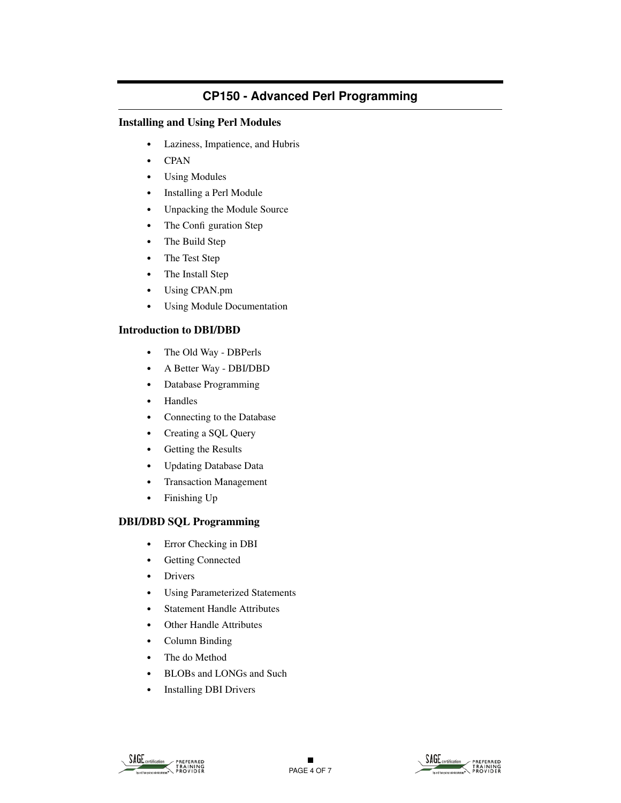#### **Installing and Using Perl Modules**

- **•** Laziness, Impatience, and Hubris
- **•** CPAN
- **•** Using Modules
- **•** Installing a Perl Module
- **•** Unpacking the Module Source
- The Confi guration Step
- **•** The Build Step
- **•** The Test Step
- **•** The Install Step
- **•** Using CPAN.pm
- **•** Using Module Documentation

#### **Introduction to DBI/DBD**

- **•** The Old Way DBPerls
- **•** A Better Way DBI/DBD
- **•** Database Programming
- **•** Handles
- **•** Connecting to the Database
- **•** Creating a SQL Query
- **•** Getting the Results
- **•** Updating Database Data
- **•** Transaction Management
- **•** Finishing Up

#### **DBI/DBD SQL Programming**

- **•** Error Checking in DBI
- **•** Getting Connected
- **•** Drivers
- **•** Using Parameterized Statements
- **•** Statement Handle Attributes
- **•** Other Handle Attributes
- **•** Column Binding
- **•** The do Method
- **•** BLOBs and LONGs and Such
- **•** Installing DBI Drivers



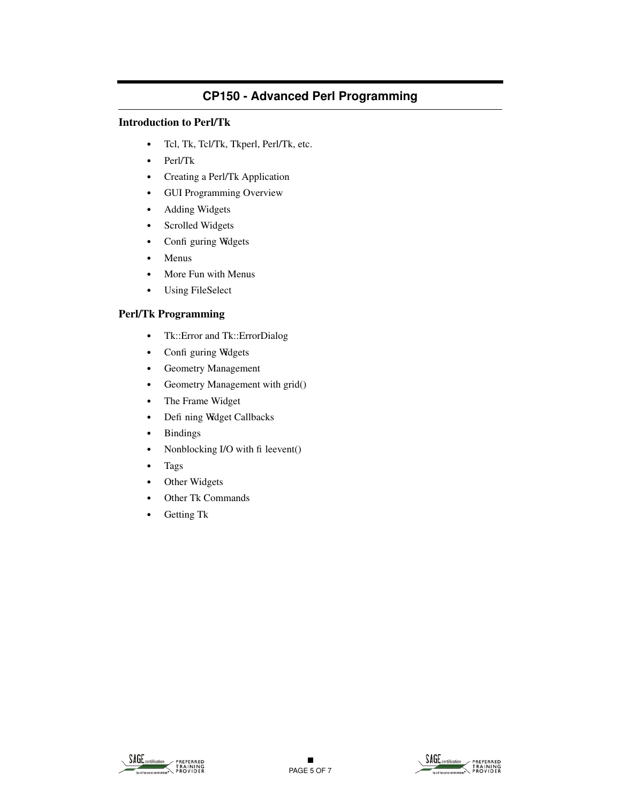### **Introduction to Perl/Tk**

- **•** Tcl, Tk, Tcl/Tk, Tkperl, Perl/Tk, etc.
- **•** Perl/Tk
- **•** Creating a Perl/Tk Application
- **•** GUI Programming Overview
- **•** Adding Widgets
- **•** Scrolled Widgets
- Confi guring Widgets
- **•** Menus
- **•** More Fun with Menus
- **•** Using FileSelect

#### **Perl/Tk Programming**

- **•** Tk::Error and Tk::ErrorDialog
- Confi guring Widgets
- **•** Geometry Management
- **•** Geometry Management with grid()
- **•** The Frame Widget
- Defi ning Widget Callbacks
- **•** Bindings
- Nonblocking I/O with fi leevent()
- **•** Tags
- **•** Other Widgets
- **•** Other Tk Commands
- **•** Getting Tk



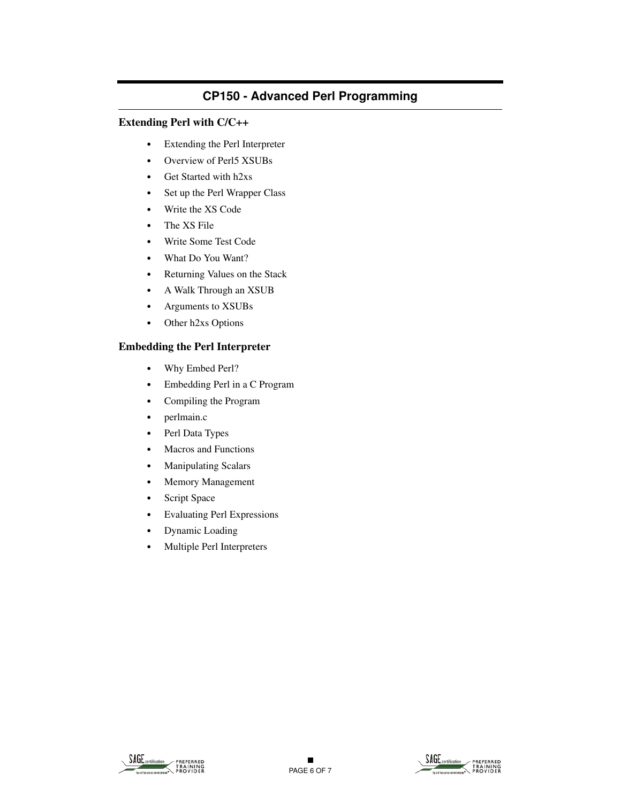#### **Extending Perl with C/C++**

- **•** Extending the Perl Interpreter
- **•** Overview of Perl5 XSUBs
- **•** Get Started with h2xs
- **•** Set up the Perl Wrapper Class
- **•** Write the XS Code
- **•** The XS File
- **•** Write Some Test Code
- **•** What Do You Want?
- **•** Returning Values on the Stack
- **•** A Walk Through an XSUB
- **•** Arguments to XSUBs
- **•** Other h2xs Options

#### **Embedding the Perl Interpreter**

- **•** Why Embed Perl?
- **•** Embedding Perl in a C Program
- **•** Compiling the Program
- **•** perlmain.c
- **•** Perl Data Types
- **•** Macros and Functions
- **•** Manipulating Scalars
- **•** Memory Management
- **•** Script Space
- **•** Evaluating Perl Expressions
- **•** Dynamic Loading
- **•** Multiple Perl Interpreters